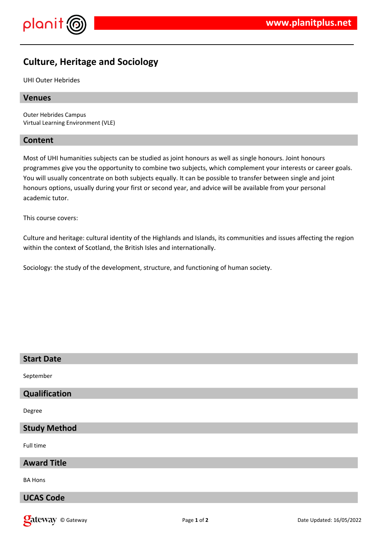

# **Culture, Heritage and Sociology**

UHI Outer Hebrides

#### **Venues**

Outer Hebrides Campus Virtual Learning Environment (VLE)

#### **Content**

Most of UHI humanities subjects can be studied as joint honours as well as single honours. Joint honours programmes give you the opportunity to combine two subjects, which complement your interests or career goals. You will usually concentrate on both subjects equally. It can be possible to transfer between single and joint honours options, usually during your first or second year, and advice will be available from your personal academic tutor.

This course covers:

Culture and heritage: cultural identity of the Highlands and Islands, its communities and issues affecting the region within the context of Scotland, the British Isles and internationally.

Sociology: the study of the development, structure, and functioning of human society.

| <b>Start Date</b>   |
|---------------------|
| September           |
| Qualification       |
| Degree              |
| <b>Study Method</b> |
| Full time           |
| <b>Award Title</b>  |
| <b>BA Hons</b>      |
| <b>UCAS Code</b>    |

**Date Way** © Gateway **Page 1 of 2** Page 1 of 2